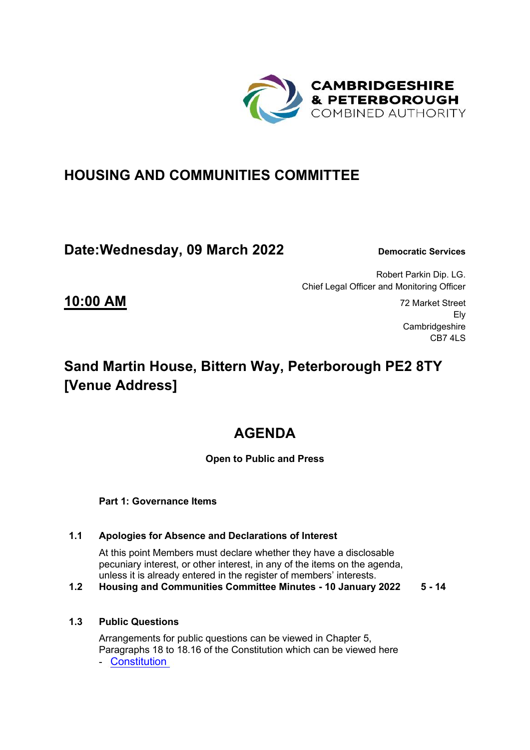

### **HOUSING AND COMMUNITIES COMMITTEE**

### **Date: Wednesday, 09 March 2022** Democratic Services

Ely

CB7 4LS

Robert Parkin Dip. LG. Chief Legal Officer and Monitoring Officer

**Cambridgeshire** 

# **Sand Martin House, Bittern Way, Peterborough PE2 8TY [Venue Address]**

# **AGENDA**

#### **Open to Public and Press**

**Part 1: Governance Items**

#### **1.1 Apologies for Absence and Declarations of Interest**

At this point Members must declare whether they have a disclosable pecuniary interest, or other interest, in any of the items on the agenda, unless it is already entered in the register of members' interests.

**1.2 Housing and Communities Committee Minutes - 10 January 2022 5 - 14**

### **1.3 Public Questions**

Arrangements for public questions can be viewed in Chapter 5, Paragraphs 18 to 18.16 of the Constitution which can be viewed here - [Constitution](https://cambridgeshirepeterborough-ca.gov.uk/assets/Transparency/Constitution-Final-2020-11-06-for-website.pdf)

**10:00 AM** 72 Market Street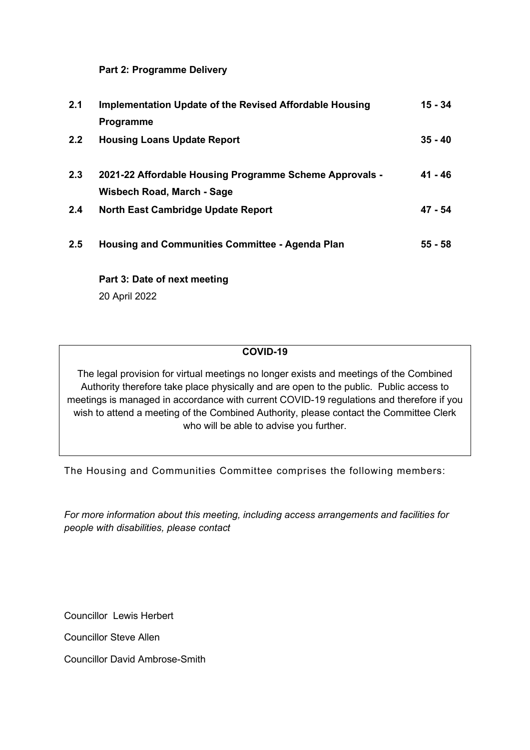**Part 2: Programme Delivery** 

| 2.1           | Implementation Update of the Revised Affordable Housing | 15 - 34   |
|---------------|---------------------------------------------------------|-----------|
|               | Programme                                               |           |
| $2.2^{\circ}$ | <b>Housing Loans Update Report</b>                      | $35 - 40$ |
| 2.3           | 2021-22 Affordable Housing Programme Scheme Approvals - | 41 - 46   |
|               | Wisbech Road, March - Sage                              |           |
| 2.4           | North East Cambridge Update Report                      | 47 - 54   |
| 2.5           | <b>Housing and Communities Committee - Agenda Plan</b>  | $55 - 58$ |
|               |                                                         |           |

 **Part 3: Date of next meeting** 

20 April 2022

#### **COVID-19**

The legal provision for virtual meetings no longer exists and meetings of the Combined Authority therefore take place physically and are open to the public. Public access to meetings is managed in accordance with current COVID-19 regulations and therefore if you wish to attend a meeting of the Combined Authority, please contact the Committee Clerk who will be able to advise you further.

The Housing and Communities Committee comprises the following members:

*For more information about this meeting, including access arrangements and facilities for people with disabilities, please contact* 

Councillor Lewis Herbert

Councillor Steve Allen

Councillor David Ambrose-Smith